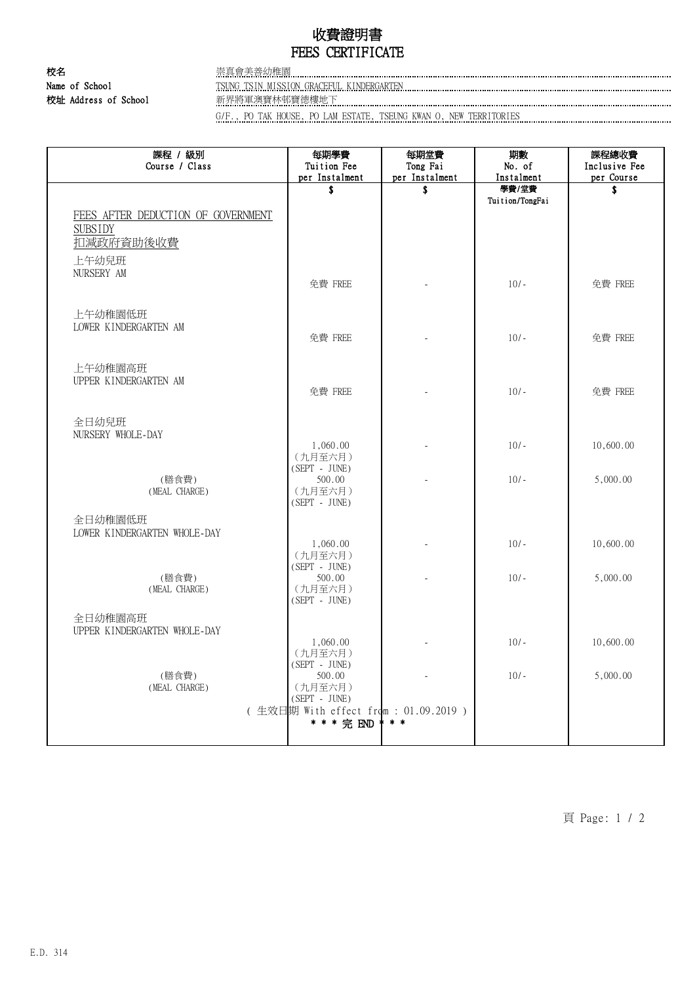## 收費證明書 FEES CERTIFICATE

校名 またま こうしょう 無真會美善幼稚園 校址 Address of School 新界將軍澳寶林邨寶德樓地下

Name of School TSUNG TSIN MISSION GRACEFUL KINDERGARTEN

G/F., PO TAK HOUSE, PO LAM ESTATE, TSEUNG KWAN O, NEW TERRITORIES

| 課程 / 級別<br>Course / Class          | 每期學費<br>Tuition Fee                  | 每期堂費<br>Tong Fai | 期數<br>No. of             | 課程總收費<br>Inclusive Fee |
|------------------------------------|--------------------------------------|------------------|--------------------------|------------------------|
|                                    | per Instalment                       | per Instalment   | Instalment               | per Course             |
|                                    | \$                                   | \$               | 學費/堂費<br>Tuition/TongFai | \$                     |
| FEES AFTER DEDUCTION OF GOVERNMENT |                                      |                  |                          |                        |
| <b>SUBSIDY</b>                     |                                      |                  |                          |                        |
| 扣減政府資助後收費                          |                                      |                  |                          |                        |
| 上午幼兒班                              |                                      |                  |                          |                        |
| NURSERY AM                         |                                      |                  |                          |                        |
|                                    | 免費 FREE                              |                  | $10/-$                   | 免費 FREE                |
|                                    |                                      |                  |                          |                        |
| 上午幼稚園低班                            |                                      |                  |                          |                        |
| LOWER KINDERGARTEN AM              |                                      |                  | $10/-$                   |                        |
|                                    | 免費 FREE                              |                  |                          | 免費 FREE                |
| 上午幼稚園高班                            |                                      |                  |                          |                        |
| UPPER KINDERGARTEN AM              |                                      |                  |                          |                        |
|                                    | 免費 FREE                              |                  | $10/-$                   | 免費 FREE                |
|                                    |                                      |                  |                          |                        |
| 全日幼兒班                              |                                      |                  |                          |                        |
| NURSERY WHOLE-DAY                  | 1,060.00                             |                  | $10/-$                   | 10,600.00              |
|                                    | (九月至六月)                              |                  |                          |                        |
| (膳食費)                              | $(SEPT - JUNE)$                      |                  | $10/-$                   | 5,000.00               |
| (MEAL CHARGE)                      | 500.00<br>(九月至六月)                    |                  |                          |                        |
|                                    | $(SEPT - JUNE)$                      |                  |                          |                        |
| 全日幼稚園低班                            |                                      |                  |                          |                        |
| LOWER KINDERGARTEN WHOLE-DAY       |                                      |                  |                          |                        |
|                                    | 1,060.00<br>(九月至六月)                  |                  | $10/-$                   | 10,600.00              |
|                                    | $(SEPT - JUNE)$                      |                  |                          |                        |
| (膳食費)                              | 500.00                               |                  | $10/-$                   | 5,000.00               |
| (MEAL CHARGE)                      | (九月至六月)<br>$(SEPT - JUNE)$           |                  |                          |                        |
| 全日幼稚園高班                            |                                      |                  |                          |                        |
| UPPER KINDERGARTEN WHOLE-DAY       |                                      |                  |                          |                        |
|                                    | 1,060.00                             |                  | $10/-$                   | 10,600.00              |
|                                    | (九月至六月)<br>$(SEPT - JUNE)$           |                  |                          |                        |
| (膳食費)                              | 500.00                               |                  | $10/-$                   | 5,000.00               |
| (MEAL CHARGE)                      | (九月至六月)<br>(SEPT - JUNE)             |                  |                          |                        |
|                                    | (生效日期 With effect from : 01.09.2019) |                  |                          |                        |
|                                    | * * * 完 END                          | $* *$            |                          |                        |
|                                    |                                      |                  |                          |                        |

頁 Page: 1 / 2